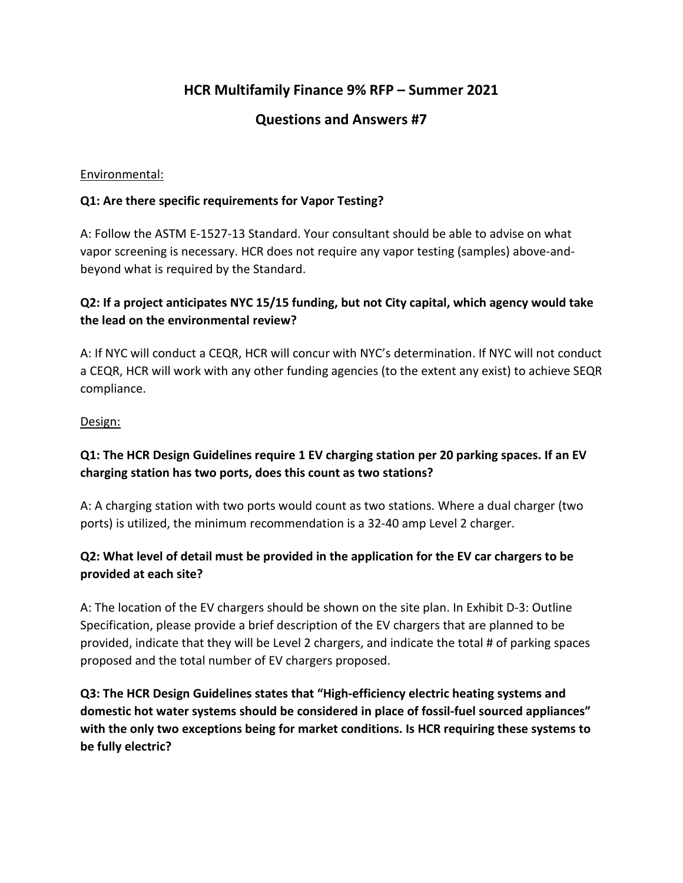# **HCR Multifamily Finance 9% RFP – Summer 2021**

# **Questions and Answers #7**

#### Environmental:

#### **Q1: Are there specific requirements for Vapor Testing?**

A: Follow the ASTM E-1527-13 Standard. Your consultant should be able to advise on what vapor screening is necessary. HCR does not require any vapor testing (samples) above-andbeyond what is required by the Standard.

### **Q2: If a project anticipates NYC 15/15 funding, but not City capital, which agency would take the lead on the environmental review?**

A: If NYC will conduct a CEQR, HCR will concur with NYC's determination. If NYC will not conduct a CEQR, HCR will work with any other funding agencies (to the extent any exist) to achieve SEQR compliance.

#### Design:

### **Q1: The HCR Design Guidelines require 1 EV charging station per 20 parking spaces. If an EV charging station has two ports, does this count as two stations?**

A: A charging station with two ports would count as two stations. Where a dual charger (two ports) is utilized, the minimum recommendation is a 32-40 amp Level 2 charger.

#### **Q2: What level of detail must be provided in the application for the EV car chargers to be provided at each site?**

A: The location of the EV chargers should be shown on the site plan. In Exhibit D-3: Outline Specification, please provide a brief description of the EV chargers that are planned to be provided, indicate that they will be Level 2 chargers, and indicate the total # of parking spaces proposed and the total number of EV chargers proposed.

**Q3: The HCR Design Guidelines states that "High-efficiency electric heating systems and domestic hot water systems should be considered in place of fossil-fuel sourced appliances" with the only two exceptions being for market conditions. Is HCR requiring these systems to be fully electric?**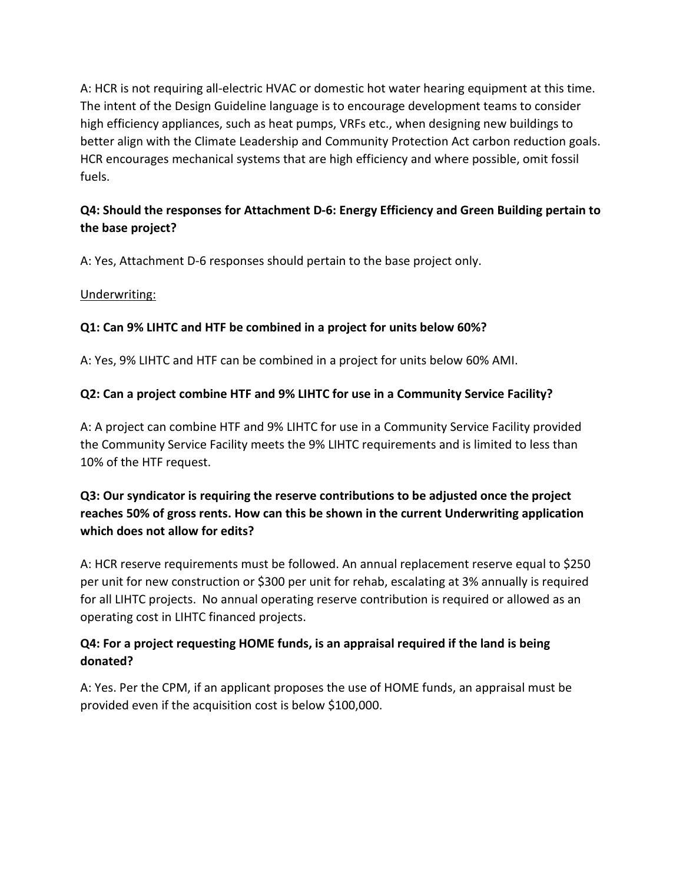A: HCR is not requiring all-electric HVAC or domestic hot water hearing equipment at this time. The intent of the Design Guideline language is to encourage development teams to consider high efficiency appliances, such as heat pumps, VRFs etc., when designing new buildings to better align with the Climate Leadership and Community Protection Act carbon reduction goals. HCR encourages mechanical systems that are high efficiency and where possible, omit fossil fuels.

# **Q4: Should the responses for Attachment D-6: Energy Efficiency and Green Building pertain to the base project?**

A: Yes, Attachment D-6 responses should pertain to the base project only.

#### Underwriting:

#### **Q1: Can 9% LIHTC and HTF be combined in a project for units below 60%?**

A: Yes, 9% LIHTC and HTF can be combined in a project for units below 60% AMI.

#### **Q2: Can a project combine HTF and 9% LIHTC for use in a Community Service Facility?**

A: A project can combine HTF and 9% LIHTC for use in a Community Service Facility provided the Community Service Facility meets the 9% LIHTC requirements and is limited to less than 10% of the HTF request.

# **Q3: Our syndicator is requiring the reserve contributions to be adjusted once the project reaches 50% of gross rents. How can this be shown in the current Underwriting application which does not allow for edits?**

A: HCR reserve requirements must be followed. An annual replacement reserve equal to \$250 per unit for new construction or \$300 per unit for rehab, escalating at 3% annually is required for all LIHTC projects. No annual operating reserve contribution is required or allowed as an operating cost in LIHTC financed projects.

### **Q4: For a project requesting HOME funds, is an appraisal required if the land is being donated?**

A: Yes. Per the CPM, if an applicant proposes the use of HOME funds, an appraisal must be provided even if the acquisition cost is below \$100,000.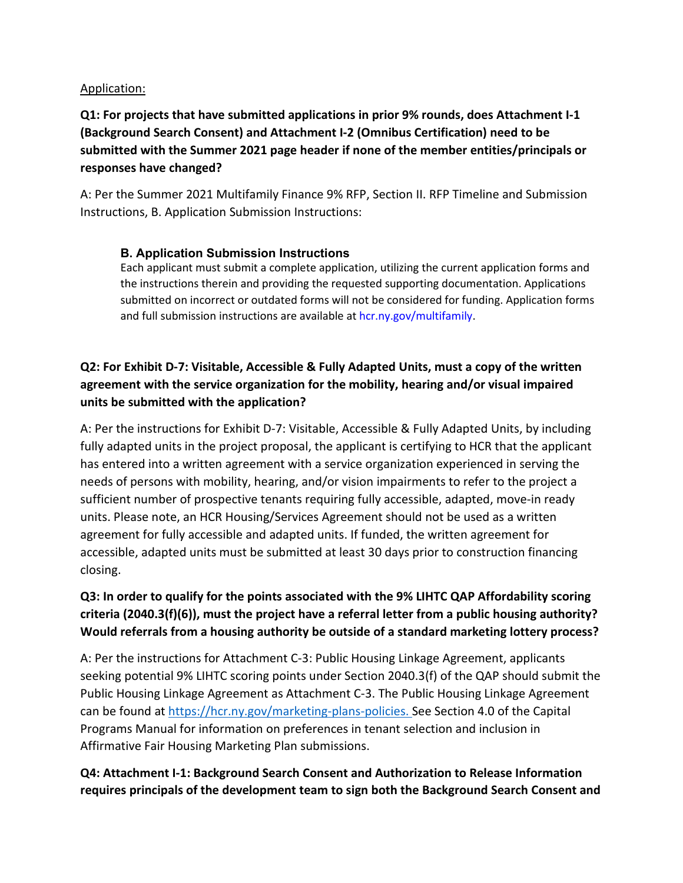#### Application:

# **Q1: For projects that have submitted applications in prior 9% rounds, does Attachment I-1 (Background Search Consent) and Attachment I-2 (Omnibus Certification) need to be submitted with the Summer 2021 page header if none of the member entities/principals or responses have changed?**

A: Per the Summer 2021 Multifamily Finance 9% RFP, Section II. RFP Timeline and Submission Instructions, B. Application Submission Instructions:

#### **B. Application Submission Instructions**

Each applicant must submit a complete application, utilizing the current application forms and the instructions therein and providing the requested supporting documentation. Applications submitted on incorrect or outdated forms will not be considered for funding. Application forms and full submission instructions are available at hcr.ny.gov/multifamily.

# **Q2: For Exhibit D-7: Visitable, Accessible & Fully Adapted Units, must a copy of the written agreement with the service organization for the mobility, hearing and/or visual impaired units be submitted with the application?**

A: Per the instructions for Exhibit D-7: Visitable, Accessible & Fully Adapted Units, by including fully adapted units in the project proposal, the applicant is certifying to HCR that the applicant has entered into a written agreement with a service organization experienced in serving the needs of persons with mobility, hearing, and/or vision impairments to refer to the project a sufficient number of prospective tenants requiring fully accessible, adapted, move-in ready units. Please note, an HCR Housing/Services Agreement should not be used as a written agreement for fully accessible and adapted units. If funded, the written agreement for accessible, adapted units must be submitted at least 30 days prior to construction financing closing.

# **Q3: In order to qualify for the points associated with the 9% LIHTC QAP Affordability scoring criteria (2040.3(f)(6)), must the project have a referral letter from a public housing authority? Would referrals from a housing authority be outside of a standard marketing lottery process?**

A: Per the instructions for Attachment C-3: Public Housing Linkage Agreement, applicants seeking potential 9% LIHTC scoring points under Section 2040.3(f) of the QAP should submit the Public Housing Linkage Agreement as Attachment C-3. The Public Housing Linkage Agreement can be found at [https://hcr.ny.gov/marketing-plans-policies.](https://hcr.ny.gov/marketing-plans-policies) See Section 4.0 of the Capital Programs Manual for information on preferences in tenant selection and inclusion in Affirmative Fair Housing Marketing Plan submissions.

### **Q4: Attachment I-1: Background Search Consent and Authorization to Release Information requires principals of the development team to sign both the Background Search Consent and**